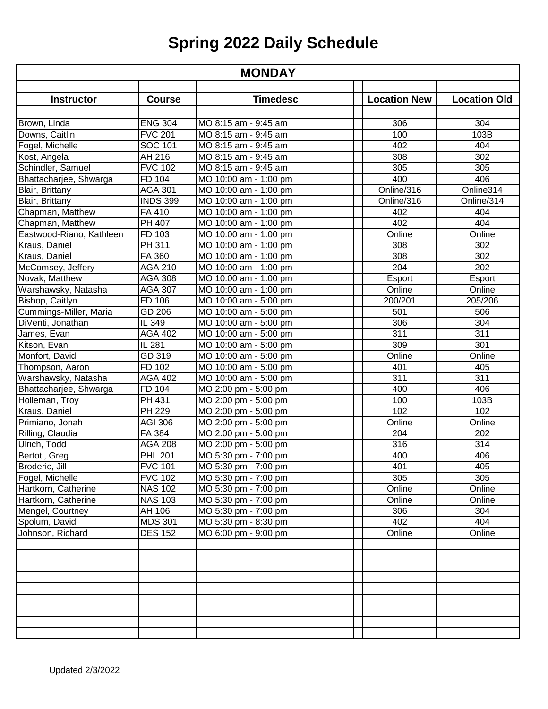| <b>MONDAY</b>            |                         |                                                |                     |                     |
|--------------------------|-------------------------|------------------------------------------------|---------------------|---------------------|
|                          |                         |                                                |                     |                     |
| <b>Instructor</b>        | <b>Course</b>           | <b>Timedesc</b>                                | <b>Location New</b> | <b>Location Old</b> |
| Brown, Linda             | <b>ENG 304</b>          | MO 8:15 am - 9:45 am                           | 306                 | 304                 |
| Downs, Caitlin           | <b>FVC 201</b>          | MO 8:15 am - 9:45 am                           | 100                 | 103B                |
| Fogel, Michelle          | <b>SOC 101</b>          | MO 8:15 am - 9:45 am                           | 402                 | 404                 |
| Kost, Angela             | AH 216                  | MO 8:15 am - 9:45 am                           | 308                 | 302                 |
| Schindler, Samuel        | <b>FVC 102</b>          | MO 8:15 am - 9:45 am                           | 305                 | 305                 |
| Bhattacharjee, Shwarga   | FD 104                  | MO 10:00 am - 1:00 pm                          | 400                 | 406                 |
| Blair, Brittany          | <b>AGA 301</b>          | MO 10:00 am - 1:00 pm                          | Online/316          | Online314           |
| Blair, Brittany          | <b>INDS 399</b>         | MO 10:00 am - 1:00 pm                          | Online/316          | Online/314          |
| Chapman, Matthew         | FA 410                  | MO 10:00 am - 1:00 pm                          | 402                 | 404                 |
| Chapman, Matthew         | <b>PH 407</b>           | MO 10:00 am - 1:00 pm                          | 402                 | 404                 |
| Eastwood-Riano, Kathleen | FD 103                  | MO 10:00 am - 1:00 pm                          | Online              | Online              |
| Kraus, Daniel            | PH 311                  | MO 10:00 am - 1:00 pm                          | 308                 | 302                 |
| Kraus, Daniel            | FA 360                  | MO 10:00 am - 1:00 pm                          | 308                 | 302                 |
| McComsey, Jeffery        | <b>AGA 210</b>          | MO 10:00 am - 1:00 pm                          | 204                 | 202                 |
| Novak, Matthew           | <b>AGA 308</b>          | MO 10:00 am - 1:00 pm                          | Esport              | Esport              |
| Warshawsky, Natasha      | <b>AGA 307</b>          | MO 10:00 am - 1:00 pm                          | Online              | Online              |
| Bishop, Caitlyn          | FD 106                  | MO 10:00 am - 5:00 pm                          | 200/201             | 205/206             |
| Cummings-Miller, Maria   | GD 206                  | MO 10:00 am - 5:00 pm                          | 501                 | 506                 |
| DiVenti, Jonathan        | IL 349                  | MO 10:00 am - 5:00 pm                          | 306                 | 304                 |
| James, Evan              | <b>AGA 402</b>          | MO 10:00 am - 5:00 pm                          | 311                 | 311                 |
| Kitson, Evan             | IL 281                  | MO 10:00 am - 5:00 pm                          | 309                 | 301                 |
| Monfort, David           | GD 319                  | MO 10:00 am - 5:00 pm                          | Online              | Online              |
|                          | FD 102                  |                                                |                     | 405                 |
| Thompson, Aaron          | <b>AGA 402</b>          | MO 10:00 am - 5:00 pm<br>MO 10:00 am - 5:00 pm | 401<br>311          | 311                 |
| Warshawsky, Natasha      |                         |                                                | 400                 | 406                 |
| Bhattacharjee, Shwarga   | FD 104<br><b>PH 431</b> | MO 2:00 pm - 5:00 pm                           | 100                 | 103B                |
| Holleman, Troy           | <b>PH 229</b>           | MO 2:00 pm - 5:00 pm                           | 102                 | 102                 |
| Kraus, Daniel            |                         | MO 2:00 pm - 5:00 pm                           |                     | Online              |
| Primiano, Jonah          | <b>AGI 306</b>          | MO 2:00 pm - 5:00 pm                           | Online              |                     |
| Rilling, Claudia         | FA 384                  | MO 2:00 pm - 5:00 pm                           | 204                 | 202                 |
| Ulrich, Todd             | <b>AGA 208</b>          | MO 2:00 pm - 5:00 pm                           | 316                 | $\overline{314}$    |
| Bertoti, Greg            | <b>PHL 201</b>          | MO 5:30 pm - 7:00 pm                           | 400                 | 406                 |
| Broderic, Jill           | <b>FVC 101</b>          | MO 5:30 pm - 7:00 pm                           | 401                 | 405                 |
| Fogel, Michelle          | <b>FVC 102</b>          | MO 5:30 pm - 7:00 pm                           | 305                 | 305                 |
| Hartkorn, Catherine      | <b>NAS 102</b>          | MO 5:30 pm - 7:00 pm                           | Online              | Online              |
| Hartkorn, Catherine      | <b>NAS 103</b>          | MO 5:30 pm - 7:00 pm                           | Online              | Online              |
| Mengel, Courtney         | AH 106                  | MO 5:30 pm - 7:00 pm                           | 306                 | 304                 |
| Spolum, David            | <b>MDS 301</b>          | MO 5:30 pm - 8:30 pm                           | 402                 | 404                 |
| Johnson, Richard         | <b>DES 152</b>          | MO 6:00 pm - 9:00 pm                           | Online              | Online              |
|                          |                         |                                                |                     |                     |
|                          |                         |                                                |                     |                     |
|                          |                         |                                                |                     |                     |
|                          |                         |                                                |                     |                     |
|                          |                         |                                                |                     |                     |
|                          |                         |                                                |                     |                     |
|                          |                         |                                                |                     |                     |
|                          |                         |                                                |                     |                     |
|                          |                         |                                                |                     |                     |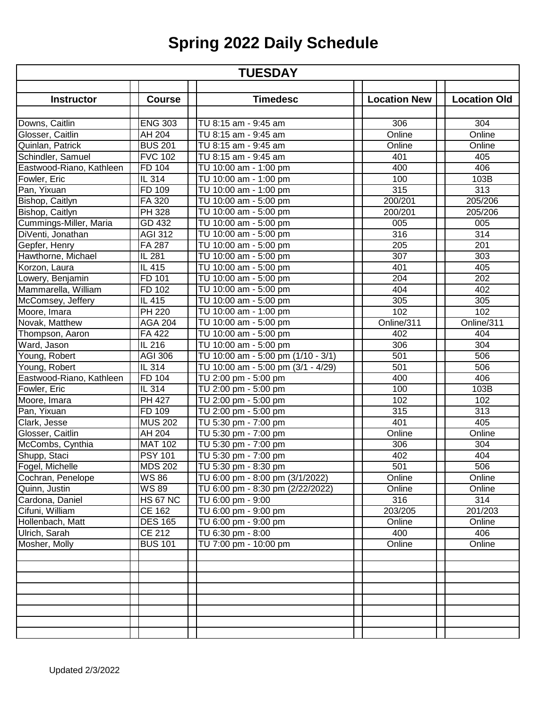| <b>TUESDAY</b>           |                      |                                    |                     |                     |
|--------------------------|----------------------|------------------------------------|---------------------|---------------------|
|                          |                      |                                    |                     |                     |
| <b>Instructor</b>        | <b>Course</b>        | <b>Timedesc</b>                    | <b>Location New</b> | <b>Location Old</b> |
| Downs, Caitlin           | <b>ENG 303</b>       | TU 8:15 am - 9:45 am               | 306                 | 304                 |
| Glosser, Caitlin         | <b>AH 204</b>        | TU 8:15 am - 9:45 am               | Online              | Online              |
| Quinlan, Patrick         | <b>BUS 201</b>       | TU 8:15 am - 9:45 am               | Online              | Online              |
| Schindler, Samuel        | <b>FVC</b> 102       | TU 8:15 am - 9:45 am               | 401                 | 405                 |
| Eastwood-Riano, Kathleen | FD 104               | TU 10:00 am - 1:00 pm              | 400                 | 406                 |
| Fowler, Eric             | $IL$ 314             | TU 10:00 am - 1:00 pm              | 100                 | 103B                |
| Pan, Yixuan              | FD 109               | TU 10:00 am - 1:00 pm              | 315                 | 313                 |
| Bishop, Caitlyn          | FA 320               | TU 10:00 am - 5:00 pm              | 200/201             | 205/206             |
| Bishop, Caitlyn          | PH 328               | TU 10:00 am - 5:00 pm              | 200/201             | 205/206             |
| Cummings-Miller, Maria   | GD 432               | TU 10:00 am - 5:00 pm              | 005                 | 005                 |
| DiVenti, Jonathan        | <b>AGI 312</b>       | TU 10:00 am - 5:00 pm              | 316                 | 314                 |
| Gepfer, Henry            | FA 287               | TU 10:00 am - 5:00 pm              | 205                 | 201                 |
| Hawthorne, Michael       | IL 281               | TU 10:00 am - 5:00 pm              | 307                 | 303                 |
| Korzon, Laura            | IL $41\overline{5}$  | TU 10:00 am - 5:00 pm              | 401                 | 405                 |
| Lowery, Benjamin         | FD 101               | TU 10:00 am - 5:00 pm              | 204                 | 202                 |
| Mammarella, William      | FD 102               | TU 10:00 am - 5:00 pm              | 404                 | 402                 |
| McComsey, Jeffery        | IL 415               | TU 10:00 am - 5:00 pm              | 305                 | 305                 |
| Moore, Imara             | $\overline{PH}$ 220  | TU 10:00 am - 1:00 pm              | 102                 | 102                 |
| Novak, Matthew           | <b>AGA 204</b>       | TU 10:00 am - 5:00 pm              | Online/311          | Online/311          |
| Thompson, Aaron          | FA 422               | TU 10:00 am - 5:00 pm              | 402                 | 404                 |
| Ward, Jason              | $\overline{1}$ L 216 | TU 10:00 am - 5:00 pm              | 306                 | 304                 |
| Young, Robert            | <b>AGI 306</b>       | TU 10:00 am - 5:00 pm (1/10 - 3/1) | 501                 | 506                 |
| Young, Robert            | IL 314               | TU 10:00 am - 5:00 pm (3/1 - 4/29) | 501                 | 506                 |
| Eastwood-Riano, Kathleen | FD 104               | TU 2:00 pm - 5:00 pm               | 400                 | 406                 |
| Fowler, Eric             | IL 314               | TU 2:00 pm - 5:00 pm               | 100                 | 103B                |
| Moore, Imara             | <b>PH 427</b>        | TU 2:00 pm - 5:00 pm               | 102                 | 102                 |
| Pan, Yixuan              | FD 109               | TU 2:00 pm - 5:00 pm               | 315                 | $\overline{313}$    |
| Clark, Jesse             | <b>MUS 202</b>       | TU 5:30 pm - 7:00 pm               | 401                 | 405                 |
| Glosser, Caitlin         | AH 204               | TU 5:30 pm - 7:00 pm               | Online              | Online              |
| McCombs, Cynthia         | <b>MAT 102</b>       | TU 5:30 pm - 7:00 pm               | 306                 | 304                 |
| Shupp, Staci             | <b>PSY 101</b>       | TU 5:30 pm - 7:00 pm               | 402                 | 404                 |
| Fogel, Michelle          | MDS 202              | TU 5:30 pm - 8:30 pm               | 501                 | 506                 |
| Cochran, Penelope        | WS 86                | TU 6:00 pm - 8:00 pm (3/1/2022)    | Online              | Online              |
| Quinn, Justin            | WS 89                | TU 6:00 pm - 8:30 pm (2/22/2022)   | Online              | Online              |
| Cardona, Daniel          | <b>HS 67 NC</b>      | TU 6:00 pm - 9:00                  | 316                 | 314                 |
| Cifuni, William          | <b>CE 162</b>        | TU 6:00 pm - 9:00 pm               | 203/205             | 201/203             |
| Hollenbach, Matt         | <b>DES 165</b>       | TU 6:00 pm - 9:00 pm               | Online              | Online              |
| Ulrich, Sarah            | CE 212               | TU 6:30 pm - 8:00                  | 400                 | 406                 |
| Mosher, Molly            | <b>BUS 101</b>       | TU 7:00 pm - 10:00 pm              | Online              | Online              |
|                          |                      |                                    |                     |                     |
|                          |                      |                                    |                     |                     |
|                          |                      |                                    |                     |                     |
|                          |                      |                                    |                     |                     |
|                          |                      |                                    |                     |                     |
|                          |                      |                                    |                     |                     |
|                          |                      |                                    |                     |                     |
|                          |                      |                                    |                     |                     |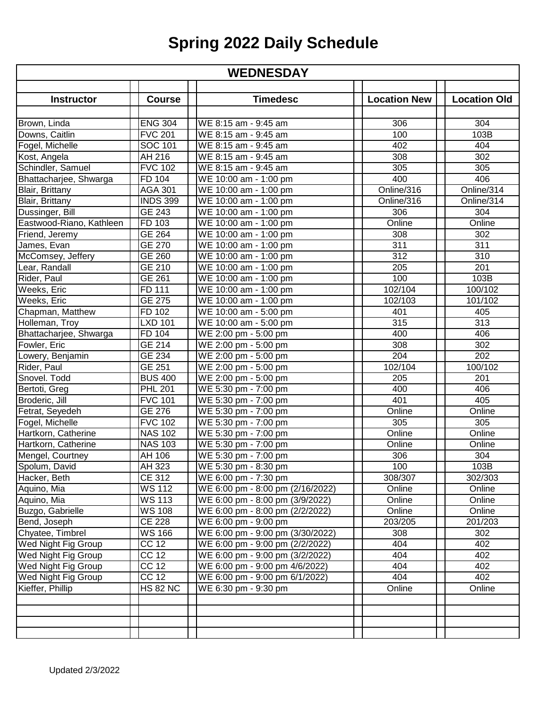| <b>WEDNESDAY</b>         |                       |                                  |                     |                     |  |
|--------------------------|-----------------------|----------------------------------|---------------------|---------------------|--|
|                          |                       |                                  |                     |                     |  |
| <b>Instructor</b>        | <b>Course</b>         | <b>Timedesc</b>                  | <b>Location New</b> | <b>Location Old</b> |  |
| Brown, Linda             | <b>ENG 304</b>        | WE 8:15 am - 9:45 am             | 306                 | 304                 |  |
| Downs, Caitlin           | <b>FVC 201</b>        | WE 8:15 am - 9:45 am             | 100                 | 103B                |  |
| Fogel, Michelle          | SOC 101               | WE 8:15 am - 9:45 am             | 402                 | 404                 |  |
| Kost, Angela             | AH 216                | WE 8:15 am - 9:45 am             | 308                 | 302                 |  |
| Schindler, Samuel        | <b>FVC 102</b>        | WE 8:15 am - 9:45 am             | 305                 | 305                 |  |
| Bhattacharjee, Shwarga   | FD 104                | WE 10:00 am - 1:00 pm            | 400                 | 406                 |  |
| Blair, Brittany          | <b>AGA 301</b>        | WE 10:00 am - 1:00 pm            | Online/316          | Online/314          |  |
| Blair, Brittany          | <b>INDS 399</b>       | WE 10:00 am - 1:00 pm            | Online/316          | Online/314          |  |
| Dussinger, Bill          | GE 243                | WE 10:00 am - 1:00 pm            | 306                 | 304                 |  |
| Eastwood-Riano, Kathleen | FD 103                | WE 10:00 am - 1:00 pm            | Online              | Online              |  |
| Friend, Jeremy           | <b>GE 264</b>         | WE 10:00 am - 1:00 pm            | 308                 | 302                 |  |
| James, Evan              | <b>GE 270</b>         | WE 10:00 am - 1:00 pm            | 311                 | 311                 |  |
| McComsey, Jeffery        | GE 260                | WE 10:00 am - 1:00 pm            | $\overline{312}$    | 310                 |  |
| Lear, Randall            | GE 210                | WE 10:00 am - 1:00 pm            | 205                 | 201                 |  |
| Rider, Paul              | GE 261                | WE 10:00 am - 1:00 pm            | 100                 | 103B                |  |
| Weeks, Eric              | FD 111                | WE 10:00 am - 1:00 pm            | 102/104             | 100/102             |  |
| Weeks, Eric              | <b>GE 275</b>         | WE 10:00 am - 1:00 pm            | 102/103             | 101/102             |  |
| Chapman, Matthew         | FD 102                | WE 10:00 am - 5:00 pm            | 401                 | 405                 |  |
| Holleman, Troy           | <b>LXD 101</b>        | WE 10:00 am - 5:00 pm            | 315                 | 313                 |  |
| Bhattacharjee, Shwarga   | FD 104                | WE 2:00 pm - 5:00 pm             | 400                 | 406                 |  |
| Fowler, Eric             | GE 214                | WE 2:00 pm - 5:00 pm             | 308                 | 302                 |  |
| Lowery, Benjamin         | GE 234                | WE 2:00 pm - 5:00 pm             | 204                 | 202                 |  |
| Rider, Paul              | GE 251                | WE 2:00 pm - 5:00 pm             | 102/104             | 100/102             |  |
| Snovel. Todd             | <b>BUS 400</b>        | WE 2:00 pm - 5:00 pm             | 205                 | 201                 |  |
| Bertoti, Greg            | <b>PHL 201</b>        | WE 5:30 pm - 7:00 pm             | 400                 | 406                 |  |
| Broderic, Jill           | <b>FVC 101</b>        | WE 5:30 pm - 7:00 pm             | 401                 | 405                 |  |
| Fetrat, Seyedeh          | GE 276                | WE 5:30 pm - 7:00 pm             | Online              | Online              |  |
| Fogel, Michelle          | <b>FVC 102</b>        | WE 5:30 pm - 7:00 pm             | 305                 | 305                 |  |
| Hartkorn, Catherine      | <b>NAS 102</b>        | WE 5:30 pm - 7:00 pm             | Online              | Online              |  |
| Hartkorn, Catherine      | <b>NAS 103</b>        | WE 5:30 pm - 7:00 pm             | Online              | Online              |  |
| Mengel, Courtney         | AH 106                | WE 5:30 pm - 7:00 pm             | 306                 | 304                 |  |
| Spolum, David            | AH 323                | WE 5:30 pm - 8:30 pm             | 100                 | 103B                |  |
| Hacker, Beth             | CE 312                | WE 6:00 pm - 7:30 pm             | 308/307             | 302/303             |  |
| Aquino, Mia              | <b>WS 112</b>         | WE 6:00 pm - 8:00 pm (2/16/2022) | Online              | Online              |  |
| Aquino, Mia              | <b>WS 113</b>         | WE 6:00 pm - 8:00 pm (3/9/2022)  | Online              | Online              |  |
| Buzgo, Gabrielle         | <b>WS 108</b>         | WE 6:00 pm - 8:00 pm (2/2/2022)  | Online              | Online              |  |
| Bend, Joseph             | <b>CE 228</b>         | WE 6:00 pm - 9:00 pm             | 203/205             | 201/203             |  |
| Chyatee, Timbrel         | <b>WS 166</b>         | WE 6:00 pm - 9:00 pm (3/30/2022) | 308                 | 302                 |  |
| Wed Night Fig Group      | CC 12                 | WE 6:00 pm - 9:00 pm (2/2/2022)  | 404                 | 402                 |  |
| Wed Night Fig Group      | CC 12                 | WE 6:00 pm - 9:00 pm (3/2/2022)  | 404                 | 402                 |  |
| Wed Night Fig Group      | CC 12                 | WE 6:00 pm - 9:00 pm 4/6/2022)   | 404                 | 402                 |  |
| Wed Night Fig Group      | CC 12                 | WE 6:00 pm - 9:00 pm 6/1/2022)   | 404                 | 402                 |  |
| Kieffer, Phillip         | $\overline{HS}$ 82 NC | WE 6:30 pm - 9:30 pm             | Online              | Online              |  |
|                          |                       |                                  |                     |                     |  |
|                          |                       |                                  |                     |                     |  |
|                          |                       |                                  |                     |                     |  |
|                          |                       |                                  |                     |                     |  |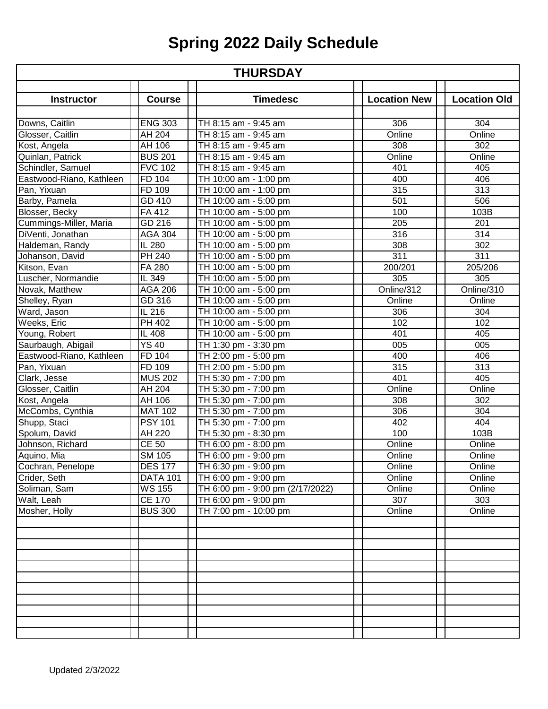| <b>THURSDAY</b>          |                 |                                  |                     |                     |
|--------------------------|-----------------|----------------------------------|---------------------|---------------------|
|                          |                 |                                  |                     |                     |
| <b>Instructor</b>        | <b>Course</b>   | <b>Timedesc</b>                  | <b>Location New</b> | <b>Location Old</b> |
| Downs, Caitlin           | <b>ENG 303</b>  | TH 8:15 am - 9:45 am             | 306                 | 304                 |
| Glosser, Caitlin         | <b>AH 204</b>   | TH 8:15 am - 9:45 am             | Online              | Online              |
| Kost, Angela             | AH 106          | TH 8:15 am - 9:45 am             | 308                 | 302                 |
| Quinlan, Patrick         | <b>BUS 201</b>  | TH 8:15 am - 9:45 am             | Online              | Online              |
| Schindler, Samuel        | <b>FVC 102</b>  | TH 8:15 am - 9:45 am             | 401                 | 405                 |
| Eastwood-Riano, Kathleen | FD 104          | TH 10:00 am - 1:00 pm            | 400                 | 406                 |
| Pan, Yixuan              | FD 109          | TH 10:00 am - 1:00 pm            | 315                 | 313                 |
|                          | GD 410          |                                  | 501                 | 506                 |
| Barby, Pamela            | <b>FA412</b>    | TH 10:00 am - 5:00 pm            | 100                 | 103B                |
| Blosser, Becky           |                 | TH 10:00 am - 5:00 pm            | 205                 |                     |
| Cummings-Miller, Maria   | GD 216          | TH 10:00 am - 5:00 pm            |                     | 201                 |
| DiVenti, Jonathan        | <b>AGA 304</b>  | TH 10:00 am - 5:00 pm            | 316                 | $\overline{314}$    |
| Haldeman, Randy          | IL 280          | TH 10:00 am - 5:00 pm            | 308                 | 302                 |
| Johanson, David          | PH 240          | TH 10:00 am - 5:00 pm            | 311                 | $\overline{311}$    |
| Kitson, Evan             | FA 280          | TH 10:00 am - 5:00 pm            | 200/201             | 205/206             |
| Luscher, Normandie       | IL 349          | TH 10:00 am - 5:00 pm            | 305                 | 305                 |
| Novak, Matthew           | <b>AGA 206</b>  | TH 10:00 am - 5:00 pm            | Online/312          | Online/310          |
| Shelley, Ryan            | GD 316          | TH 10:00 am - 5:00 pm            | Online              | Online              |
| Ward, Jason              | IL 216          | TH 10:00 am - 5:00 pm            | 306                 | 304                 |
| Weeks, Eric              | PH 402          | TH 10:00 am - 5:00 pm            | 102                 | 102                 |
| Young, Robert            | IL 408          | TH 10:00 am - 5:00 pm            | 401                 | 405                 |
| Saurbaugh, Abigail       | <b>YS 40</b>    | TH 1:30 pm - 3:30 pm             | 005                 | 005                 |
| Eastwood-Riano, Kathleen | FD 104          | TH 2:00 pm - 5:00 pm             | 400                 | 406                 |
| Pan, Yixuan              | FD 109          | TH 2:00 pm - 5:00 pm             | 315                 | 313                 |
| Clark, Jesse             | <b>MUS 202</b>  | TH 5:30 pm - 7:00 pm             | 401                 | 405                 |
| Glosser, Caitlin         | AH 204          | TH 5:30 pm - 7:00 pm             | Online              | Online              |
| Kost, Angela             | AH 106          | TH 5:30 pm - 7:00 pm             | 308                 | 302                 |
| McCombs, Cynthia         | <b>MAT 102</b>  | TH 5:30 pm - 7:00 pm             | 306                 | 304                 |
| Shupp, Staci             | <b>PSY 101</b>  | TH 5:30 pm - 7:00 pm             | 402                 | 404                 |
| Spolum, David            | <b>AH 220</b>   | TH 5:30 pm - 8:30 pm             | 100                 | 103B                |
| Johnson, Richard         | <b>CE 50</b>    | TH 6:00 pm - 8:00 pm             | Online              | Online              |
| Aquino, Mia              | SM 105          | TH 6:00 pm - 9:00 pm             | Online              | Online              |
| Cochran, Penelope        | DES 177         | TH 6:30 pm - 9:00 pm             | Online              | Online              |
| Crider, Seth             | <b>DATA 101</b> | TH 6:00 pm - 9:00 pm             | Online              | Online              |
| Soliman, Sam             | <b>WS 155</b>   | TH 6:00 pm - 9:00 pm (2/17/2022) | Online              | Online              |
| Walt, Leah               | <b>CE 170</b>   | TH 6:00 pm - 9:00 pm             | 307                 | 303                 |
| Mosher, Holly            | <b>BUS 300</b>  | TH 7:00 pm - 10:00 pm            | Online              | Online              |
|                          |                 |                                  |                     |                     |
|                          |                 |                                  |                     |                     |
|                          |                 |                                  |                     |                     |
|                          |                 |                                  |                     |                     |
|                          |                 |                                  |                     |                     |
|                          |                 |                                  |                     |                     |
|                          |                 |                                  |                     |                     |
|                          |                 |                                  |                     |                     |
|                          |                 |                                  |                     |                     |
|                          |                 |                                  |                     |                     |
|                          |                 |                                  |                     |                     |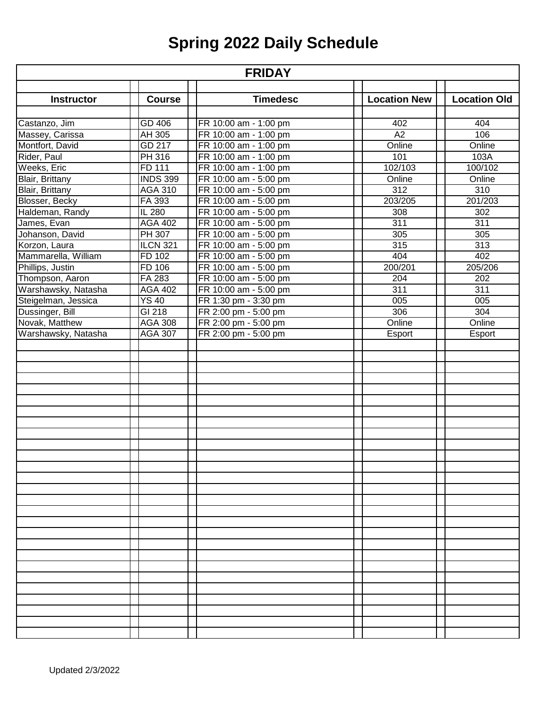| <b>FRIDAY</b>       |                 |                       |                     |                     |  |
|---------------------|-----------------|-----------------------|---------------------|---------------------|--|
|                     |                 |                       |                     |                     |  |
| <b>Instructor</b>   | <b>Course</b>   | <b>Timedesc</b>       | <b>Location New</b> | <b>Location Old</b> |  |
| Castanzo, Jim       | GD 406          | FR 10:00 am - 1:00 pm | 402                 | 404                 |  |
| Massey, Carissa     | AH 305          | FR 10:00 am - 1:00 pm | A2                  | 106                 |  |
| Montfort, David     | GD 217          | FR 10:00 am - 1:00 pm | Online              | Online              |  |
| Rider, Paul         | <b>PH 316</b>   | FR 10:00 am - 1:00 pm | 101                 | 103A                |  |
| Weeks, Eric         | FD 111          | FR 10:00 am - 1:00 pm | 102/103             | 100/102             |  |
| Blair, Brittany     | <b>INDS 399</b> | FR 10:00 am - 5:00 pm | Online              | Online              |  |
| Blair, Brittany     | <b>AGA 310</b>  | FR 10:00 am - 5:00 pm | 312                 | 310                 |  |
| Blosser, Becky      | FA 393          | FR 10:00 am - 5:00 pm | 203/205             | 201/203             |  |
| Haldeman, Randy     | IL 280          | FR 10:00 am - 5:00 pm | 308                 | 302                 |  |
| James, Evan         | <b>AGA 402</b>  | FR 10:00 am - 5:00 pm | 311                 | 311                 |  |
| Johanson, David     | PH 307          | FR 10:00 am - 5:00 pm | 305                 | 305                 |  |
| Korzon, Laura       | <b>ILCN 321</b> | FR 10:00 am - 5:00 pm | 315                 | 313                 |  |
| Mammarella, William | FD 102          | FR 10:00 am - 5:00 pm | 404                 | 402                 |  |
| Phillips, Justin    | FD 106          | FR 10:00 am - 5:00 pm | 200/201             | 205/206             |  |
| Thompson, Aaron     | FA 283          | FR 10:00 am - 5:00 pm | 204                 | 202                 |  |
| Warshawsky, Natasha | <b>AGA 402</b>  | FR 10:00 am - 5:00 pm | 311                 | 311                 |  |
| Steigelman, Jessica | <b>YS 40</b>    | FR 1:30 pm - 3:30 pm  | 005                 | 005                 |  |
| Dussinger, Bill     | $GI$ 218        | FR 2:00 pm - 5:00 pm  | 306                 | 304                 |  |
| Novak, Matthew      | <b>AGA 308</b>  | FR 2:00 pm - 5:00 pm  | Online              | Online              |  |
| Warshawsky, Natasha | <b>AGA 307</b>  | FR 2:00 pm - 5:00 pm  | Esport              | Esport              |  |
|                     |                 |                       |                     |                     |  |
|                     |                 |                       |                     |                     |  |
|                     |                 |                       |                     |                     |  |
|                     |                 |                       |                     |                     |  |
|                     |                 |                       |                     |                     |  |
|                     |                 |                       |                     |                     |  |
|                     |                 |                       |                     |                     |  |
|                     |                 |                       |                     |                     |  |
|                     |                 |                       |                     |                     |  |
|                     |                 |                       |                     |                     |  |
|                     |                 |                       |                     |                     |  |
|                     |                 |                       |                     |                     |  |
|                     |                 |                       |                     |                     |  |
|                     |                 |                       |                     |                     |  |
|                     |                 |                       |                     |                     |  |
|                     |                 |                       |                     |                     |  |
|                     |                 |                       |                     |                     |  |
|                     |                 |                       |                     |                     |  |
|                     |                 |                       |                     |                     |  |
|                     |                 |                       |                     |                     |  |
|                     |                 |                       |                     |                     |  |
|                     |                 |                       |                     |                     |  |
|                     |                 |                       |                     |                     |  |
|                     |                 |                       |                     |                     |  |
|                     |                 |                       |                     |                     |  |
|                     |                 |                       |                     |                     |  |
|                     |                 |                       |                     |                     |  |